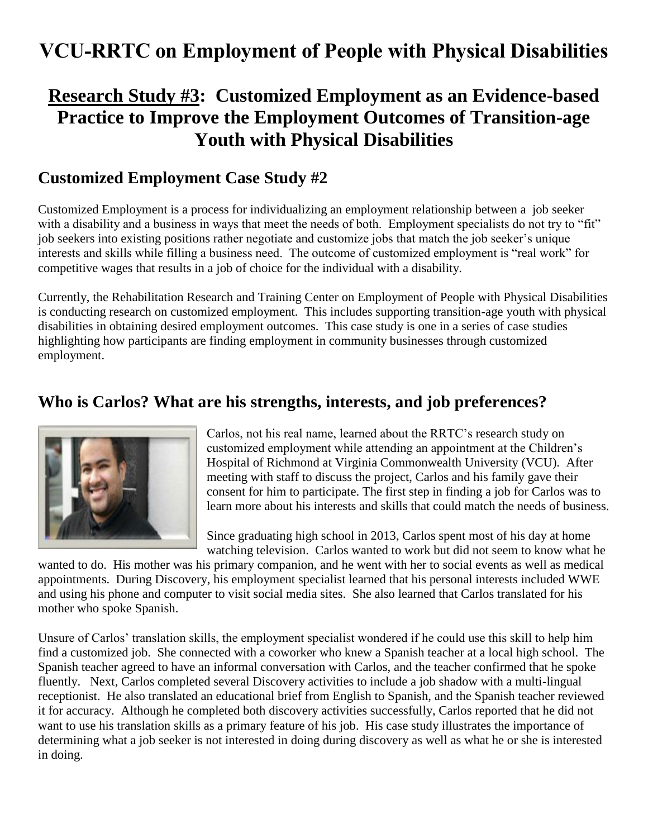# **VCU-RRTC on Employment of People with Physical Disabilities**

## **Research Study #3: Customized Employment as an Evidence-based Practice to Improve the Employment Outcomes of Transition-age Youth with Physical Disabilities**

### **Customized Employment Case Study #2**

Customized Employment is a process for individualizing an employment relationship between a job seeker with a disability and a business in ways that meet the needs of both. Employment specialists do not try to "fit" job seekers into existing positions rather negotiate and customize jobs that match the job seeker's unique interests and skills while filling a business need. The outcome of customized employment is "real work" for competitive wages that results in a job of choice for the individual with a disability.

Currently, the Rehabilitation Research and Training Center on Employment of People with Physical Disabilities is conducting research on customized employment. This includes supporting transition-age youth with physical disabilities in obtaining desired employment outcomes. This case study is one in a series of case studies highlighting how participants are finding employment in community businesses through customized employment.

#### **Who is Carlos? What are his strengths, interests, and job preferences?**



Carlos, not his real name, learned about the RRTC's research study on customized employment while attending an appointment at the Children's Hospital of Richmond at Virginia Commonwealth University (VCU). After meeting with staff to discuss the project, Carlos and his family gave their consent for him to participate. The first step in finding a job for Carlos was to learn more about his interests and skills that could match the needs of business.

Since graduating high school in 2013, Carlos spent most of his day at home watching television. Carlos wanted to work but did not seem to know what he

wanted to do. His mother was his primary companion, and he went with her to social events as well as medical appointments. During Discovery, his employment specialist learned that his personal interests included WWE and using his phone and computer to visit social media sites. She also learned that Carlos translated for his mother who spoke Spanish.

Unsure of Carlos' translation skills, the employment specialist wondered if he could use this skill to help him find a customized job. She connected with a coworker who knew a Spanish teacher at a local high school. The Spanish teacher agreed to have an informal conversation with Carlos, and the teacher confirmed that he spoke fluently. Next, Carlos completed several Discovery activities to include a job shadow with a multi-lingual receptionist. He also translated an educational brief from English to Spanish, and the Spanish teacher reviewed it for accuracy. Although he completed both discovery activities successfully, Carlos reported that he did not want to use his translation skills as a primary feature of his job. His case study illustrates the importance of determining what a job seeker is not interested in doing during discovery as well as what he or she is interested in doing.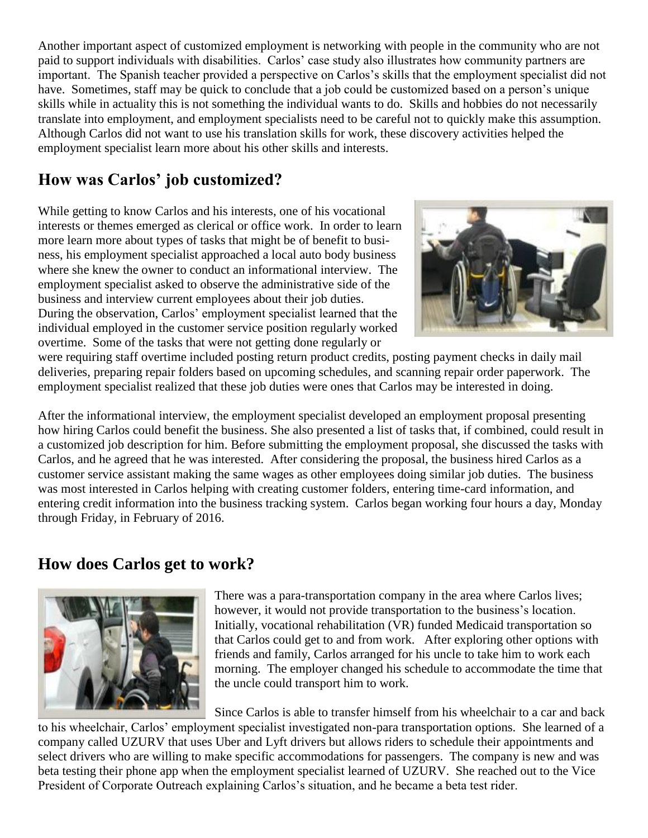Another important aspect of customized employment is networking with people in the community who are not paid to support individuals with disabilities. Carlos' case study also illustrates how community partners are important. The Spanish teacher provided a perspective on Carlos's skills that the employment specialist did not have. Sometimes, staff may be quick to conclude that a job could be customized based on a person's unique skills while in actuality this is not something the individual wants to do. Skills and hobbies do not necessarily translate into employment, and employment specialists need to be careful not to quickly make this assumption. Although Carlos did not want to use his translation skills for work, these discovery activities helped the employment specialist learn more about his other skills and interests.

## **How was Carlos' job customized?**

While getting to know Carlos and his interests, one of his vocational interests or themes emerged as clerical or office work. In order to learn more learn more about types of tasks that might be of benefit to business, his employment specialist approached a local auto body business where she knew the owner to conduct an informational interview. The employment specialist asked to observe the administrative side of the business and interview current employees about their job duties. During the observation, Carlos' employment specialist learned that the individual employed in the customer service position regularly worked overtime. Some of the tasks that were not getting done regularly or



were requiring staff overtime included posting return product credits, posting payment checks in daily mail deliveries, preparing repair folders based on upcoming schedules, and scanning repair order paperwork. The employment specialist realized that these job duties were ones that Carlos may be interested in doing.

After the informational interview, the employment specialist developed an employment proposal presenting how hiring Carlos could benefit the business. She also presented a list of tasks that, if combined, could result in a customized job description for him. Before submitting the employment proposal, she discussed the tasks with Carlos, and he agreed that he was interested. After considering the proposal, the business hired Carlos as a customer service assistant making the same wages as other employees doing similar job duties. The business was most interested in Carlos helping with creating customer folders, entering time-card information, and entering credit information into the business tracking system. Carlos began working four hours a day, Monday through Friday, in February of 2016.

### **How does Carlos get to work?**



There was a para-transportation company in the area where Carlos lives; however, it would not provide transportation to the business's location. Initially, vocational rehabilitation (VR) funded Medicaid transportation so that Carlos could get to and from work. After exploring other options with friends and family, Carlos arranged for his uncle to take him to work each morning. The employer changed his schedule to accommodate the time that the uncle could transport him to work.

Since Carlos is able to transfer himself from his wheelchair to a car and back to his wheelchair, Carlos' employment specialist investigated non-para transportation options. She learned of a company called UZURV that uses Uber and Lyft drivers but allows riders to schedule their appointments and select drivers who are willing to make specific accommodations for passengers. The company is new and was beta testing their phone app when the employment specialist learned of UZURV. She reached out to the Vice President of Corporate Outreach explaining Carlos's situation, and he became a beta test rider.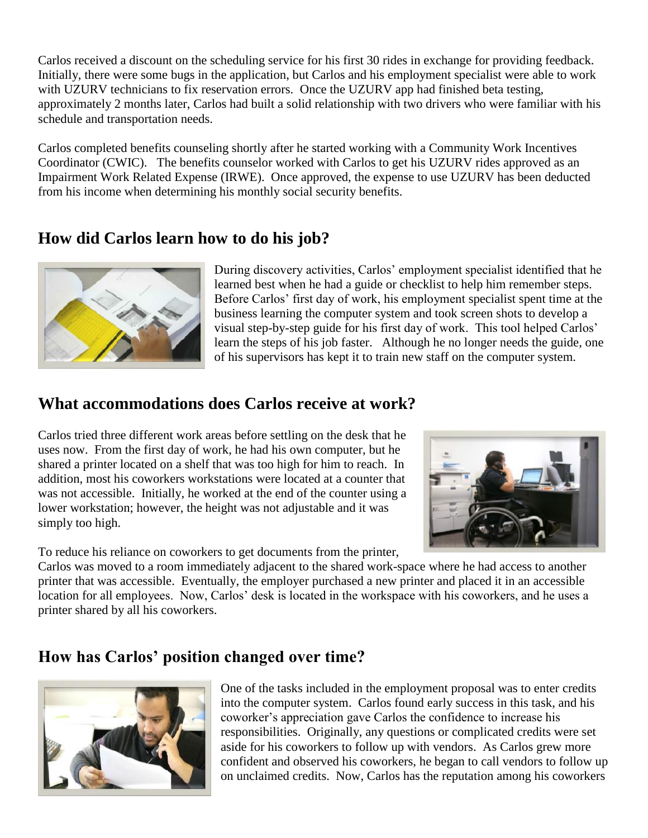Carlos received a discount on the scheduling service for his first 30 rides in exchange for providing feedback. Initially, there were some bugs in the application, but Carlos and his employment specialist were able to work with UZURV technicians to fix reservation errors. Once the UZURV app had finished beta testing, approximately 2 months later, Carlos had built a solid relationship with two drivers who were familiar with his schedule and transportation needs.

Carlos completed benefits counseling shortly after he started working with a Community Work Incentives Coordinator (CWIC). The benefits counselor worked with Carlos to get his UZURV rides approved as an Impairment Work Related Expense (IRWE). Once approved, the expense to use UZURV has been deducted from his income when determining his monthly social security benefits.

#### **How did Carlos learn how to do his job?**



During discovery activities, Carlos' employment specialist identified that he learned best when he had a guide or checklist to help him remember steps. Before Carlos' first day of work, his employment specialist spent time at the business learning the computer system and took screen shots to develop a visual step-by-step guide for his first day of work. This tool helped Carlos' learn the steps of his job faster. Although he no longer needs the guide, one of his supervisors has kept it to train new staff on the computer system.

### **What accommodations does Carlos receive at work?**

Carlos tried three different work areas before settling on the desk that he uses now. From the first day of work, he had his own computer, but he shared a printer located on a shelf that was too high for him to reach. In addition, most his coworkers workstations were located at a counter that was not accessible. Initially, he worked at the end of the counter using a lower workstation; however, the height was not adjustable and it was simply too high.



To reduce his reliance on coworkers to get documents from the printer,

Carlos was moved to a room immediately adjacent to the shared work-space where he had access to another printer that was accessible. Eventually, the employer purchased a new printer and placed it in an accessible location for all employees. Now, Carlos' desk is located in the workspace with his coworkers, and he uses a printer shared by all his coworkers.

### **How has Carlos' position changed over time?**



One of the tasks included in the employment proposal was to enter credits into the computer system. Carlos found early success in this task, and his coworker's appreciation gave Carlos the confidence to increase his responsibilities. Originally, any questions or complicated credits were set aside for his coworkers to follow up with vendors. As Carlos grew more confident and observed his coworkers, he began to call vendors to follow up on unclaimed credits. Now, Carlos has the reputation among his coworkers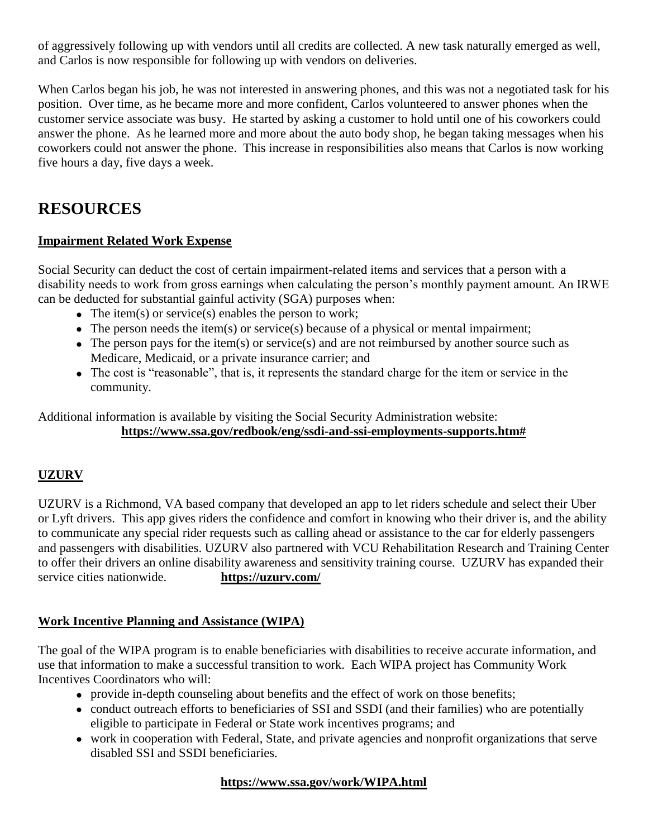of aggressively following up with vendors until all credits are collected. A new task naturally emerged as well, and Carlos is now responsible for following up with vendors on deliveries.

When Carlos began his job, he was not interested in answering phones, and this was not a negotiated task for his position. Over time, as he became more and more confident, Carlos volunteered to answer phones when the customer service associate was busy. He started by asking a customer to hold until one of his coworkers could answer the phone. As he learned more and more about the auto body shop, he began taking messages when his coworkers could not answer the phone. This increase in responsibilities also means that Carlos is now working five hours a day, five days a week.

### **RESOURCES**

#### **Impairment Related Work Expense**

Social Security can deduct the cost of certain impairment-related items and services that a person with a disability needs to work from gross earnings when calculating the person's monthly payment amount. An IRWE can be deducted for substantial gainful activity (SGA) purposes when:

- The item(s) or service(s) enables the person to work;
- The person needs the item(s) or service(s) because of a physical or mental impairment;
- The person pays for the item(s) or service(s) and are not reimbursed by another source such as Medicare, Medicaid, or a private insurance carrier; and
- The cost is "reasonable", that is, it represents the standard charge for the item or service in the community.

Additional information is available by visiting the Social Security Administration website: **https://www.ssa.gov/redbook/eng/ssdi-and-ssi-employments-supports.htm#**

#### **UZURV**

UZURV is a Richmond, VA based company that developed an app to let riders schedule and select their Uber or Lyft drivers. This app gives riders the confidence and comfort in knowing who their driver is, and the ability to communicate any special rider requests such as calling ahead or assistance to the car for elderly passengers and passengers with disabilities. UZURV also partnered with VCU Rehabilitation Research and Training Center to offer their drivers an online disability awareness and sensitivity training course. UZURV has expanded their service cities nationwide. **https://uzurv.com/**

#### **Work Incentive Planning and Assistance (WIPA)**

The goal of the WIPA program is to enable beneficiaries with disabilities to receive accurate information, and use that information to make a successful transition to work. Each WIPA project has Community Work Incentives Coordinators who will:

- provide in-depth counseling about benefits and the effect of work on those benefits;
- conduct outreach efforts to beneficiaries of SSI and SSDI (and their families) who are potentially eligible to participate in Federal or State work incentives programs; and
- work in cooperation with Federal, State, and private agencies and nonprofit organizations that serve disabled SSI and SSDI beneficiaries.

#### **https://www.ssa.gov/work/WIPA.html**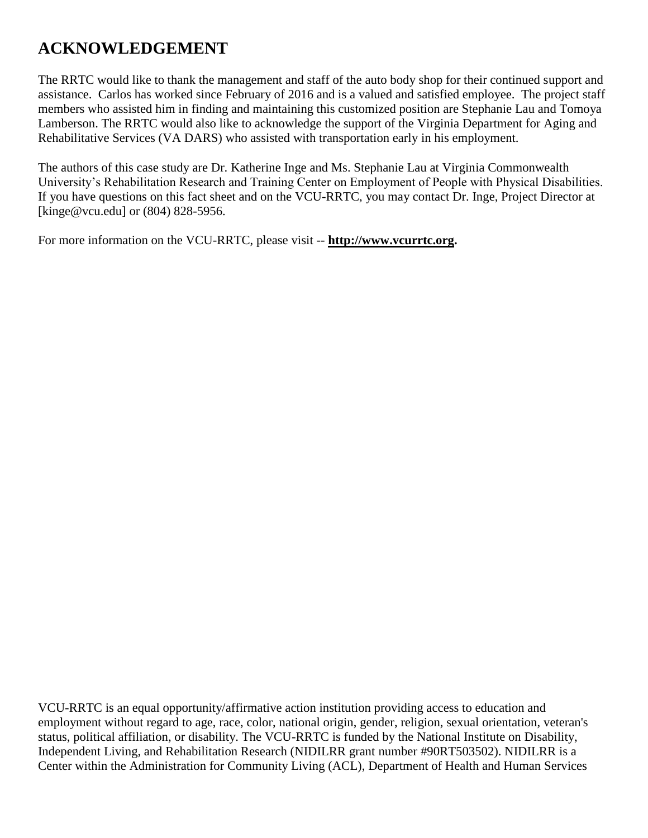## **ACKNOWLEDGEMENT**

The RRTC would like to thank the management and staff of the auto body shop for their continued support and assistance. Carlos has worked since February of 2016 and is a valued and satisfied employee. The project staff members who assisted him in finding and maintaining this customized position are Stephanie Lau and Tomoya Lamberson. The RRTC would also like to acknowledge the support of the Virginia Department for Aging and Rehabilitative Services (VA DARS) who assisted with transportation early in his employment.

The authors of this case study are Dr. Katherine Inge and Ms. Stephanie Lau at Virginia Commonwealth University's Rehabilitation Research and Training Center on Employment of People with Physical Disabilities. If you have questions on this fact sheet and on the VCU-RRTC, you may contact Dr. Inge, Project Director at [kinge@vcu.edu] or  $(804)$  828-5956.

For more information on the VCU-RRTC, please visit -- **http://www.vcurrtc.org.**

VCU-RRTC is an equal opportunity/affirmative action institution providing access to education and employment without regard to age, race, color, national origin, gender, religion, sexual orientation, veteran's status, political affiliation, or disability. The VCU-RRTC is funded by the National Institute on Disability, Independent Living, and Rehabilitation Research (NIDILRR grant number #90RT503502). NIDILRR is a Center within the Administration for Community Living (ACL), Department of Health and Human Services